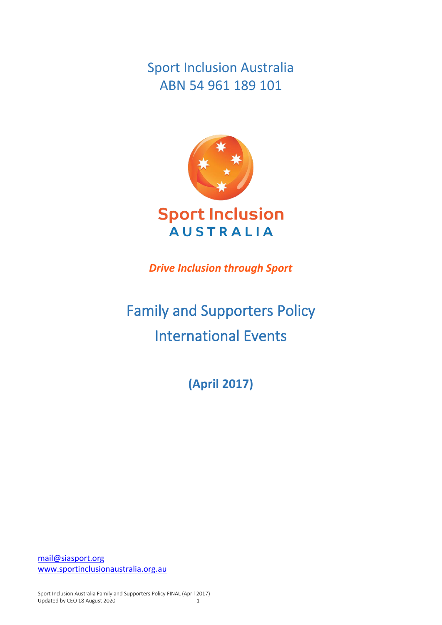Sport Inclusion Australia ABN 54 961 189 101



*Drive Inclusion through Sport*

# Family and Supporters Policy International Events

**(April 2017)**

[mail@siasport.org](mailto:mail@siasport.org) [www.sportinclusionaustralia.org.](http://www.sportinclusionaustralia.org/)au